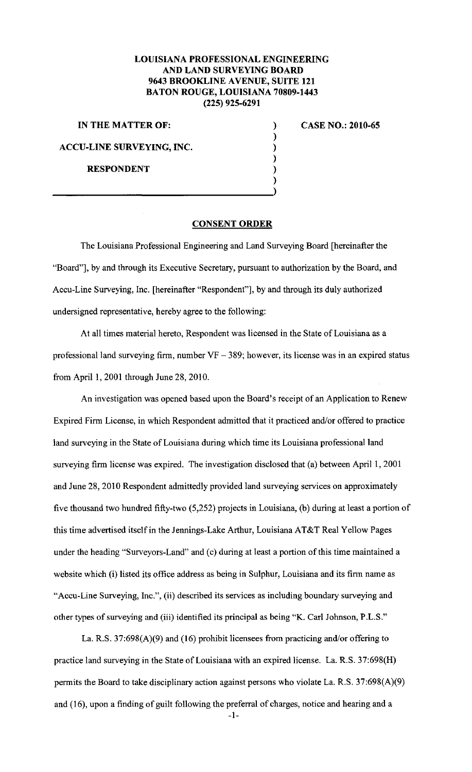## **LOUISIANA PROFESSIONAL ENGINEERING AND LAND SURVEYING BOARD 9643 BROOKLINE A VENUE, SUITE 121 BATON ROUGE, LOUISIANA 70809-1443 (225) 925-6291**

) ) ) ) ) )

**IN THE MATTER OF:** 

**ACCU-LINE SURVEYING, INC.** 

**RESPONDENT** 

**CASE NO.: 2010-65** 

## **CONSENT ORDER**

The Louisiana Professional Engineering and Land Surveying Board [hereinafter the "Board"], by and through its Executive Secretary, pursuant to authorization by the Board, and Accu-Line Surveying, Inc. [hereinafter "Respondent"], by and through its duly authorized undersigned representative, hereby agree to the following:

At all times material hereto, Respondent was licensed in the State of Louisiana as a professional land surveying firm, number  $VF - 389$ ; however, its license was in an expired status from April 1, 2001 through June 28, 2010.

An investigation was opened based upon the Board's receipt of an Application to Renew Expired Firm License, in which Respondent admitted that it practiced and/or offered to practice land surveying in the State of Louisiana during which time its Louisiana professional land surveying firm license was expired. The investigation disclosed that (a) between April I, 2001 and June 28, 2010 Respondent admittedly provided land surveying services on approximately five thousand two hundred fifty-two (5,252) projects in Louisiana, (b) during at least a portion of this time advertised itself in the Jennings-Lake Arthur, Louisiana AT&T Real Yellow Pages under the heading "Surveyors-Land" and (c) during at least a portion of this time maintained a website which (i) listed its office address as being in Sulphur, Louisiana and its firm name as "Accu-Line Surveying, Inc.", (ii) described its services as including boundary surveying and other types of surveying and (iii) identified its principal as being "K. Carl Johnson, P.L.S."

La. R.S. 37:698(A)(9) and (16) prohibit licensees from practicing and/or offering to practice land surveying in the State of Louisiana with an expired license. La. R.S. 37:698(H) permits the Board to take disciplinary action against persons who violate La. R.S. 37:698(A)(9) and (16), upon a finding of guilt following the preferral of charges, notice and hearing and a

-I-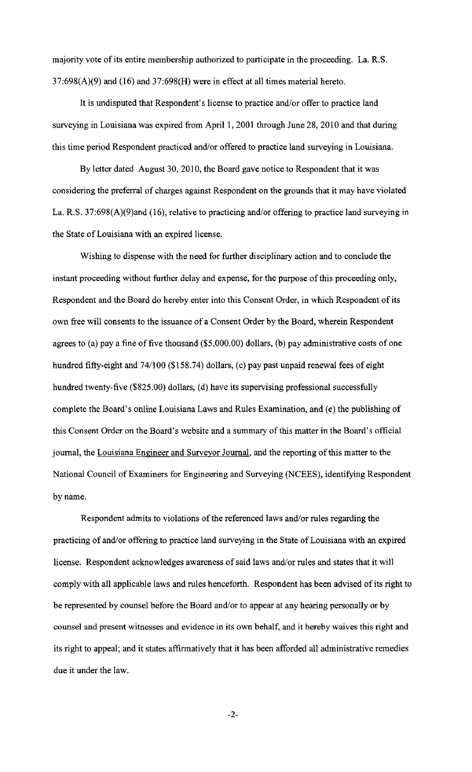majority vote of its entire membership authorized to participate in the proceeding. La. R.S.  $37:698(A)(9)$  and  $(16)$  and  $37:698(H)$  were in effect at all times material hereto.

It is undisputed that Respondent's license to practice and/or offer to practice land surveying in Louisiana was expired from April 1, 2001 through June 28, 2010 and that during this time period Respondent practiced and/or offered to practice land surveying in Louisiana.

By letter dated August 30, 2010, the Board gave notice to Respondent that it was considering the preferral of charges against Respondent on the grounds that it may have violated La. R.S. 37:698(A)(9)and (16), relative to practicing and/or offering to practice land surveying in the State of Louisiana with an expired license.

Wishing to dispense with the need for further disciplinary action and to conclude the instant proceeding without further delay and expense, for the purpose of this proceeding only, Respondent and the Board do hereby enter into this Consent Order, in which Respondent of its own free will consents to the issuance of a Consent Order by the Board, wherein Respondent agrees to (a) pay a fine of five thousand (\$5,000.00) dollars, (b) pay administrative costs of one hundred fifty-eight and 74/100 (\$158.74) dollars, (c) pay past unpaid renewal fees of eight hundred twenty-five (\$825.00) dollars, (d) have its supervising professional successfully complete the Board's online Louisiana Laws and Rules Examination, and (e) the publishing of this Consent Order on the Board's website and a summary of this matter in the Board's official journal, the Louisiana Engineer and Surveyor Journal, and the reporting of this matter to the National Council of Examiners for Engineering and Surveying (NCEES), identifying Respondent by name.

Respondent admits to violations of the referenced laws and/or rules regarding the practicing of and/or offering to practice land surveying in the State of Louisiana with an expired license. Respondent acknowledges awareness of said laws and/or rules and states that it will comply with all applicable laws and rules henceforth. Respondent has been advised of its right to be represented by counsel before the Board and/or to appear at any hearing personally or by counsel and present witnesses and evidence in its own behalf, and it hereby waives this right and its right to appeal; and it states affirmatively that it has been afforded all administrative remedies due it under the law.

-2-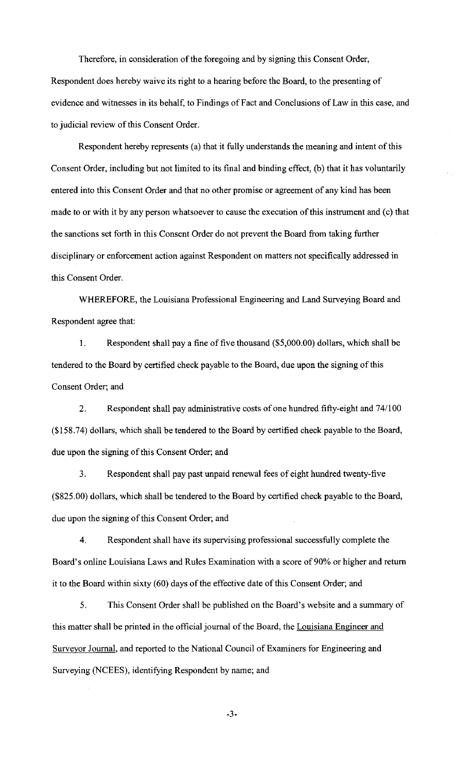Therefore, in consideration of the foregoing and by signing this Consent Order, Respondent does hereby waive its right to a hearing before the Board, to the presenting of evidence and witnesses in its behalf, to Findings of Fact and Conclusions of Law in this case, and to judicial review of this Consent Order.

Respondent hereby represents (a) that it fully understands the meaning and intent of this Consent Order, including but not limited to its final and binding effect, (b) that it has voluntarily entered into this Consent Order and that no other promise or agreement of any kind has been made to or with it by any person whatsoever to cause the execution of this instrument and (c) that the sanctions set forth in this Consent Order do not prevent the Board from taking further disciplinary or enforcement action against Respondent on matters not specifically addressed in this Consent Order.

WHEREFORE, the Louisiana Professional Engineering and Land Surveying Board and Respondent agree that:

1. Respondent shall pay a fine of five thousand (\$5,000.00) dollars, which shall be tendered to the Board by certified check payable to the Board, due upon the signing of this Consent Order; and

2. Respondent shall pay administrative costs of one hundred fifty-eight and 74/100 (\$158.74) dollars, which shall be tendered to the Board by certified check payable to the Board, due upon the signing of this Consent Order; and

3. Respondent shall pay past unpaid renewal fees of eight hundred twenty-five (\$825.00) dollars, which shall be tendered to the Board by certified check payable to the Board, due upon the signing of this Consent Order; and

4. Respondent shall have its supervising professional successfully complete the Board's online Louisiana Laws and Rules Examination with a score of 90% or higher and return it to the Board within sixty (60) days of the effective date of this Consent Order; and

5. This Consent Order shall be published on the Board's website and a summary of this matter shall be printed in the official journal of the Board, the Louisiana Engineer and Surveyor Journal, and reported to the National Council of Examiners for Engineering and Surveying (NCEES), identifying Respondent by name; and

-3-